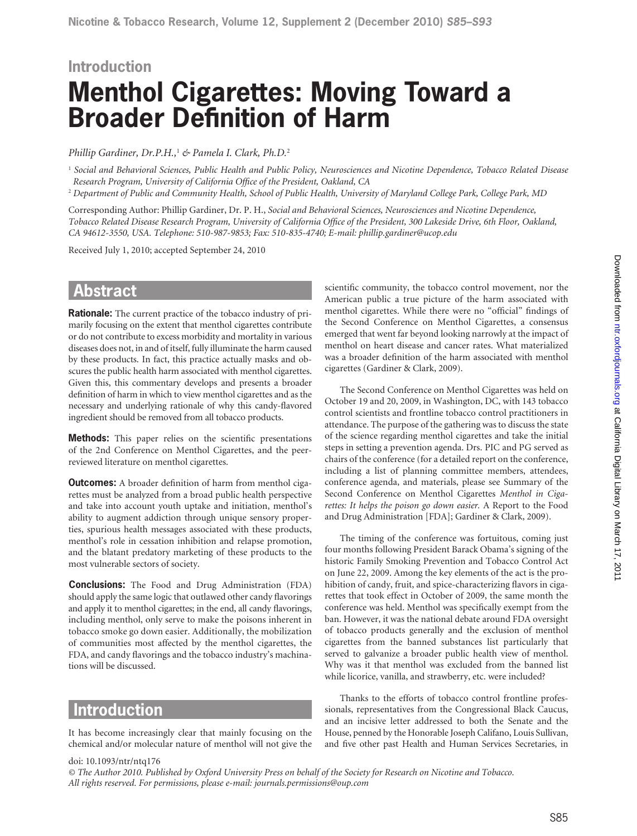# **Introduction Menthol Cigarettes: Moving Toward a Broader Definition of Harm**

*Phillip Gardiner, Dr.P.H.,*<sup>1</sup>  *& Pamela I. Clark, Ph.D.*<sup>2</sup>

1  *Social and Behavioral Sciences, Public Health and Public Policy, Neurosciences and Nicotine Dependence, Tobacco Related Disease Research Program, University of California Office of the President, Oakland, CA*

2  *Department of Public and Community Health, School of Public Health, University of Maryland College Park, College Park, MD*

Corresponding Author: Phillip Gardiner, Dr. P. H., *Social and Behavioral Sciences, Neurosciences and Nicotine Dependence, Tobacco Related Disease Research Program, University of California Office of the President, 300 Lakeside Drive, 6th Floor, Oakland, CA 94612-3550, USA. Telephone: 510-987-9853; Fax: 510-835-4740; E-mail: phillip.gardiner@ucop.edu*

Received July 1, 2010; accepted September 24, 2010

## **Abstract**

**Rationale:** The current practice of the tobacco industry of primarily focusing on the extent that menthol cigarettes contribute or do not contribute to excess morbidity and mortality in various diseases does not, in and of itself, fully illuminate the harm caused by these products. In fact, this practice actually masks and obscures the public health harm associated with menthol cigarettes. Given this, this commentary develops and presents a broader definition of harm in which to view menthol cigarettes and as the necessary and underlying rationale of why this candy-flavored ingredient should be removed from all tobacco products.

**Methods:** This paper relies on the scientific presentations of the 2nd Conference on Menthol Cigarettes, and the peerreviewed literature on menthol cigarettes.

**Outcomes:** A broader definition of harm from menthol cigarettes must be analyzed from a broad public health perspective and take into account youth uptake and initiation, menthol's ability to augment addiction through unique sensory properties, spurious health messages associated with these products, menthol's role in cessation inhibition and relapse promotion, and the blatant predatory marketing of these products to the most vulnerable sectors of society.

**Conclusions:** The Food and Drug Administration (FDA) should apply the same logic that outlawed other candy flavorings and apply it to menthol cigarettes; in the end, all candy flavorings, including menthol, only serve to make the poisons inherent in tobacco smoke go down easier. Additionally, the mobilization of communities most affected by the menthol cigarettes, the FDA, and candy flavorings and the tobacco industry's machinations will be discussed.

### **Introduction**

It has become increasingly clear that mainly focusing on the chemical and/or molecular nature of menthol will not give the

### scientific community, the tobacco control movement, nor the American public a true picture of the harm associated with menthol cigarettes. While there were no "official" findings of the Second Conference on Menthol Cigarettes, a consensus emerged that went far beyond looking narrowly at the impact of menthol on heart disease and cancer rates. What materialized was a broader definition of the harm associated with menthol cigarettes (Gardiner & Clark, 2009).

The Second Conference on Menthol Cigarettes was held on October 19 and 20, 2009, in Washington, DC, with 143 tobacco control scientists and frontline tobacco control practitioners in attendance. The purpose of the gathering was to discuss the state of the science regarding menthol cigarettes and take the initial steps in setting a prevention agenda. Drs. PIC and PG served as chairs of the conference (for a detailed report on the conference, including a list of planning committee members, attendees, conference agenda, and materials, please see Summary of the Second Conference on Menthol Cigarettes *Menthol in Cigarettes: It helps the poison go down easier.* A Report to the Food and Drug Administration [FDA]; Gardiner & Clark, 2009).

The timing of the conference was fortuitous, coming just four months following President Barack Obama's signing of the historic Family Smoking Prevention and Tobacco Control Act on June 22, 2009. Among the key elements of the act is the prohibition of candy, fruit, and spice-characterizing flavors in cigarettes that took effect in October of 2009, the same month the conference was held. Menthol was specifically exempt from the ban. However, it was the national debate around FDA oversight of tobacco products generally and the exclusion of menthol cigarettes from the banned substances list particularly that served to galvanize a broader public health view of menthol. Why was it that menthol was excluded from the banned list while licorice, vanilla, and strawberry, etc. were included?

Thanks to the efforts of tobacco control frontline professionals, representatives from the Congressional Black Caucus, and an incisive letter addressed to both the Senate and the House, penned by the Honorable Joseph Califano, Louis Sullivan, and five other past Health and Human Services Secretaries, in

### doi: 10.1093/ntr/ntq176

*© The Author 2010. Published by Oxford University Press on behalf of the Society for Research on Nicotine and Tobacco. All rights reserved. For permissions, please e-mail: journals.permissions@oup.com*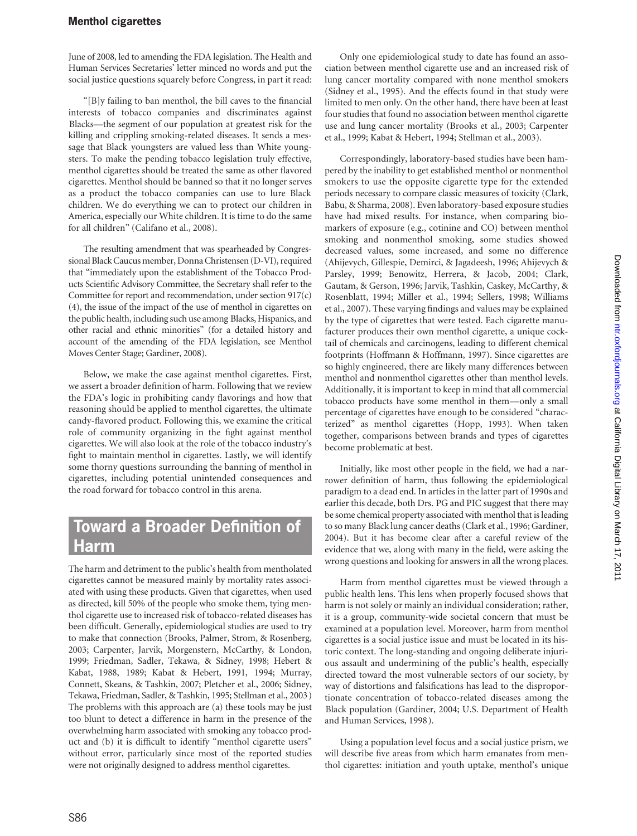June of 2008, led to amending the FDA legislation. The Health and Human Services Secretaries' letter minced no words and put the social justice questions squarely before Congress, in part it read:

"[B]y failing to ban menthol, the bill caves to the financial interests of tobacco companies and discriminates against Blacks—the segment of our population at greatest risk for the killing and crippling smoking-related diseases. It sends a message that Black youngsters are valued less than White youngsters. To make the pending tobacco legislation truly effective, menthol cigarettes should be treated the same as other flavored cigarettes. Menthol should be banned so that it no longer serves as a product the tobacco companies can use to lure Black children. We do everything we can to protect our children in America, especially our White children. It is time to do the same for all children" (Califano et al., 2008).

The resulting amendment that was spearheaded by Congressional Black Caucus member, Donna Christensen (D-VI), required that "immediately upon the establishment of the Tobacco Products Scientific Advisory Committee, the Secretary shall refer to the Committee for report and recommendation, under section 917(c) (4), the issue of the impact of the use of menthol in cigarettes on the public health, including such use among Blacks, Hispanics, and other racial and ethnic minorities" (for a detailed history and account of the amending of the FDA legislation, see Menthol Moves Center Stage; Gardiner, 2008).

Below, we make the case against menthol cigarettes. First, we assert a broader definition of harm. Following that we review the FDA's logic in prohibiting candy flavorings and how that reasoning should be applied to menthol cigarettes, the ultimate candy-flavored product. Following this, we examine the critical role of community organizing in the fight against menthol cigarettes. We will also look at the role of the tobacco industry's fight to maintain menthol in cigarettes. Lastly, we will identify some thorny questions surrounding the banning of menthol in cigarettes, including potential unintended consequences and the road forward for tobacco control in this arena.

## **Toward a Broader Definition of Harm**

The harm and detriment to the public's health from mentholated cigarettes cannot be measured mainly by mortality rates associated with using these products. Given that cigarettes, when used as directed, kill 50% of the people who smoke them, tying menthol cigarette use to increased risk of tobacco-related diseases has been difficult. Generally, epidemiological studies are used to try to make that connection (Brooks, Palmer, Strom, & Rosenberg, 2003; Carpenter, Jarvik, Morgenstern, McCarthy, & London, 1999; Friedman, Sadler, Tekawa, & Sidney, 1998; Hebert & Kabat, 1988, 1989; Kabat & Hebert, 1991, 1994; Murray, Connett, Skeans, & Tashkin, 2007; Pletcher et al., 2006; Sidney, Tekawa, Friedman, Sadler, & Tashkin, 1995; Stellman et al., 2003) The problems with this approach are (a) these tools may be just too blunt to detect a difference in harm in the presence of the overwhelming harm associated with smoking any tobacco product and (b) it is difficult to identify "menthol cigarette users" without error, particularly since most of the reported studies were not originally designed to address menthol cigarettes.

Only one epidemiological study to date has found an association between menthol cigarette use and an increased risk of lung cancer mortality compared with none menthol smokers (Sidney et al., 1995). And the effects found in that study were limited to men only. On the other hand, there have been at least four studies that found no association between menthol cigarette use and lung cancer mortality (Brooks et al., 2003; Carpenter et al., 1999; Kabat & Hebert, 1994; Stellman et al., 2003).

Correspondingly, laboratory-based studies have been hampered by the inability to get established menthol or nonmenthol smokers to use the opposite cigarette type for the extended periods necessary to compare classic measures of toxicity (Clark, Babu, & Sharma, 2008). Even laboratory-based exposure studies have had mixed results. For instance, when comparing biomarkers of exposure (e.g., cotinine and CO) between menthol smoking and nonmenthol smoking, some studies showed decreased values, some increased, and some no difference (Ahijevych, Gillespie, Demirci, & Jagadeesh, 1996; Ahijevych & Parsley, 1999; Benowitz, Herrera, & Jacob, 2004; Clark, Gautam, & Gerson, 1996; Jarvik, Tashkin, Caskey, McCarthy, & Rosenblatt, 1994; Miller et al., 1994; Sellers, 1998; Williams et al., 2007). These varying findings and values may be explained by the type of cigarettes that were tested. Each cigarette manufacturer produces their own menthol cigarette, a unique cocktail of chemicals and carcinogens, leading to different chemical footprints (Hoffmann & Hoffmann, 1997). Since cigarettes are so highly engineered, there are likely many differences between menthol and nonmenthol cigarettes other than menthol levels. Additionally, it is important to keep in mind that all commercial tobacco products have some menthol in them—only a small percentage of cigarettes have enough to be considered "characterized" as menthol cigarettes (Hopp, 1993). When taken together, comparisons between brands and types of cigarettes become problematic at best.

Initially, like most other people in the field, we had a narrower definition of harm, thus following the epidemiological paradigm to a dead end. In articles in the latter part of 1990s and earlier this decade, both Drs. PG and PIC suggest that there may be some chemical property associated with menthol that is leading to so many Black lung cancer deaths (Clark et al., 1996; Gardiner, 2004). But it has become clear after a careful review of the evidence that we, along with many in the field, were asking the wrong questions and looking for answers in all the wrong places.

Harm from menthol cigarettes must be viewed through a public health lens. This lens when properly focused shows that harm is not solely or mainly an individual consideration; rather, it is a group, community-wide societal concern that must be examined at a population level. Moreover, harm from menthol cigarettes is a social justice issue and must be located in its historic context. The long-standing and ongoing deliberate injurious assault and undermining of the public's health, especially directed toward the most vulnerable sectors of our society, by way of distortions and falsifications has lead to the disproportionate concentration of tobacco-related diseases among the Black population (Gardiner, 2004; U.S. Department of Health and Human Services, 1998).

Using a population level focus and a social justice prism, we will describe five areas from which harm emanates from menthol cigarettes: initiation and youth uptake, menthol's unique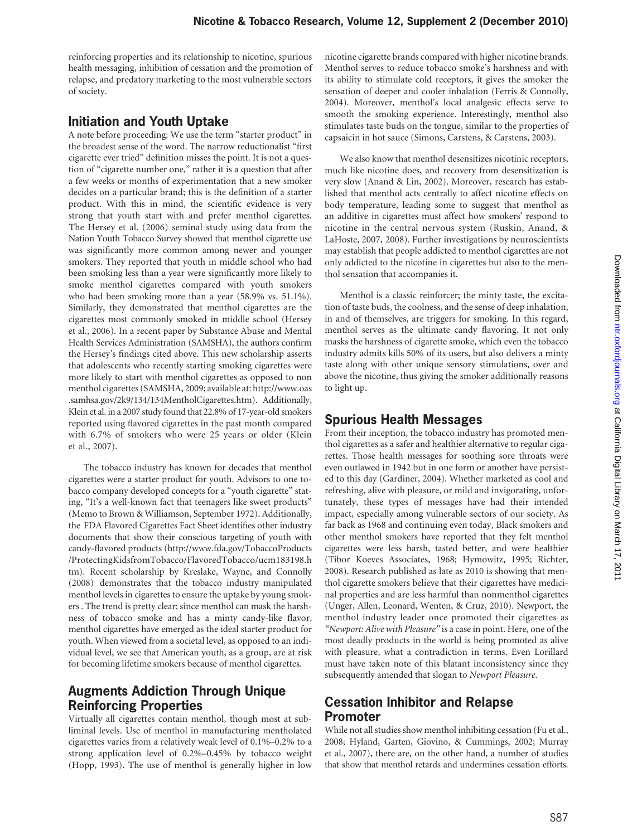reinforcing properties and its relationship to nicotine, spurious health messaging, inhibition of cessation and the promotion of relapse, and predatory marketing to the most vulnerable sectors of society.

### **Initiation and Youth Uptake**

A note before proceeding: We use the term "starter product" in the broadest sense of the word. The narrow reductionalist "first cigarette ever tried" definition misses the point. It is not a question of "cigarette number one," rather it is a question that after a few weeks or months of experimentation that a new smoker decides on a particular brand; this is the definition of a starter product. With this in mind, the scientific evidence is very strong that youth start with and prefer menthol cigarettes. The Hersey et al. (2006) seminal study using data from the Nation Youth Tobacco Survey showed that menthol cigarette use was significantly more common among newer and younger smokers. They reported that youth in middle school who had been smoking less than a year were significantly more likely to smoke menthol cigarettes compared with youth smokers who had been smoking more than a year (58.9% vs. 51.1%). Similarly, they demonstrated that menthol cigarettes are the cigarettes most commonly smoked in middle school (Hersey et al., 2006). In a recent paper by Substance Abuse and Mental Health Services Administration (SAMSHA), the authors confirm the Hersey's findings cited above. This new scholarship asserts that adolescents who recently starting smoking cigarettes were more likely to start with menthol cigarettes as opposed to non menthol cigarettes (SAMSHA, 2009; available at: http://www.oas .samhsa.gov/2k9/134/134MentholCigarettes.htm). Additionally, Klein et al. in a 2007 study found that 22.8% of 17-year-old smokers reported using flavored cigarettes in the past month compared with 6.7% of smokers who were 25 years or older (Klein et al., 2007).

The tobacco industry has known for decades that menthol cigarettes were a starter product for youth. Advisors to one tobacco company developed concepts for a "youth cigarette" stating, "It's a well-known fact that teenagers like sweet products" (Memo to Brown & Williamson, September 1972). Additionally, the FDA Flavored Cigarettes Fact Sheet identifies other industry documents that show their conscious targeting of youth with candy-flavored products (http://www.fda.gov/TobaccoProducts /ProtectingKidsfromTobacco/FlavoredTobacco/ucm183198.h tm). Recent scholarship by Kreslake, Wayne, and Connolly (2008) demonstrates that the tobacco industry manipulated menthol levels in cigarettes to ensure the uptake by young smokers. The trend is pretty clear; since menthol can mask the harshness of tobacco smoke and has a minty candy-like flavor, menthol cigarettes have emerged as the ideal starter product for youth. When viewed from a societal level, as opposed to an individual level, we see that American youth, as a group, are at risk for becoming lifetime smokers because of menthol cigarettes.

### **Augments Addiction Through Unique Reinforcing Properties**

Virtually all cigarettes contain menthol, though most at subliminal levels. Use of menthol in manufacturing mentholated cigarettes varies from a relatively weak level of 0.1%–0.2% to a strong application level of 0.2%–0.45% by tobacco weight (Hopp, 1993). The use of menthol is generally higher in low

nicotine cigarette brands compared with higher nicotine brands. Menthol serves to reduce tobacco smoke's harshness and with its ability to stimulate cold receptors, it gives the smoker the sensation of deeper and cooler inhalation (Ferris & Connolly, 2004). Moreover, menthol's local analgesic effects serve to smooth the smoking experience. Interestingly, menthol also stimulates taste buds on the tongue, similar to the properties of capsaicin in hot sauce (Simons, Carstens, & Carstens, 2003).

We also know that menthol desensitizes nicotinic receptors, much like nicotine does, and recovery from desensitization is very slow (Anand & Lin, 2002). Moreover, research has established that menthol acts centrally to affect nicotine effects on body temperature, leading some to suggest that menthol as an additive in cigarettes must affect how smokers' respond to nicotine in the central nervous system (Ruskin, Anand, & LaHoste, 2007, 2008). Further investigations by neuroscientists may establish that people addicted to menthol cigarettes are not only addicted to the nicotine in cigarettes but also to the menthol sensation that accompanies it.

Menthol is a classic reinforcer; the minty taste, the excitation of taste buds, the coolness, and the sense of deep inhalation, in and of themselves, are triggers for smoking. In this regard, menthol serves as the ultimate candy flavoring. It not only masks the harshness of cigarette smoke, which even the tobacco industry admits kills 50% of its users, but also delivers a minty taste along with other unique sensory stimulations, over and above the nicotine, thus giving the smoker additionally reasons to light up.

### **Spurious Health Messages**

From their inception, the tobacco industry has promoted menthol cigarettes as a safer and healthier alternative to regular cigarettes. Those health messages for soothing sore throats were even outlawed in 1942 but in one form or another have persisted to this day (Gardiner, 2004). Whether marketed as cool and refreshing, alive with pleasure, or mild and invigorating, unfortunately, these types of messages have had their intended impact, especially among vulnerable sectors of our society. As far back as 1968 and continuing even today, Black smokers and other menthol smokers have reported that they felt menthol cigarettes were less harsh, tasted better, and were healthier (Tibor Koeves Associates, 1968; Hymowitz, 1995; Richter, 2008). Research published as late as 2010 is showing that menthol cigarette smokers believe that their cigarettes have medicinal properties and are less harmful than nonmenthol cigarettes (Unger, Allen, Leonard, Wenten, & Cruz, 2010). Newport, the menthol industry leader once promoted their cigarettes as *"Newport: Alive with Pleasure"* is a case in point. Here, one of the most deadly products in the world is being promoted as alive with pleasure, what a contradiction in terms. Even Lorillard must have taken note of this blatant inconsistency since they subsequently amended that slogan to *Newport Pleasure*.

### **Cessation Inhibitor and Relapse Promoter**

While not all studies show menthol inhibiting cessation (Fu et al., 2008; Hyland, Garten, Giovino, & Cummings, 2002; Murray et al., 2007), there are, on the other hand, a number of studies that show that menthol retards and undermines cessation efforts.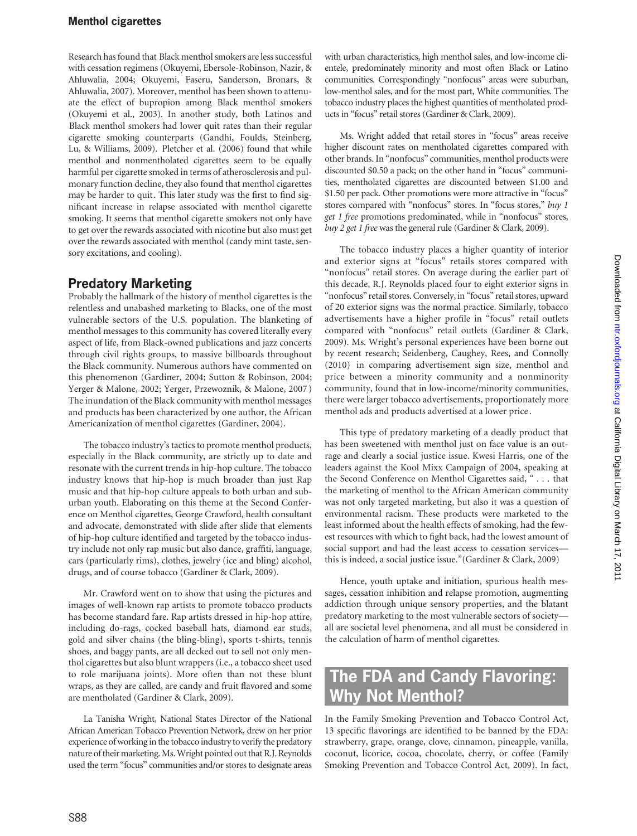Research has found that Black menthol smokers are less successful with cessation regimens (Okuyemi, Ebersole-Robinson, Nazir, & Ahluwalia, 2004; Okuyemi, Faseru, Sanderson, Bronars, & Ahluwalia, 2007). Moreover, menthol has been shown to attenuate the effect of bupropion among Black menthol smokers (Okuyemi et al., 2003). In another study, both Latinos and Black menthol smokers had lower quit rates than their regular cigarette smoking counterparts (Gandhi, Foulds, Steinberg, Lu, & Williams, 2009). Pletcher et al. (2006) found that while menthol and nonmentholated cigarettes seem to be equally harmful per cigarette smoked in terms of atherosclerosis and pulmonary function decline, they also found that menthol cigarettes may be harder to quit. This later study was the first to find significant increase in relapse associated with menthol cigarette smoking. It seems that menthol cigarette smokers not only have to get over the rewards associated with nicotine but also must get over the rewards associated with menthol (candy mint taste, sensory excitations, and cooling).

### **Predatory Marketing**

Probably the hallmark of the history of menthol cigarettes is the relentless and unabashed marketing to Blacks, one of the most vulnerable sectors of the U.S. population. The blanketing of menthol messages to this community has covered literally every aspect of life, from Black-owned publications and jazz concerts through civil rights groups, to massive billboards throughout the Black community. Numerous authors have commented on this phenomenon (Gardiner, 2004; Sutton & Robinson, 2004; Yerger & Malone, 2002; Yerger, Przewoznik, & Malone, 2007 ) The inundation of the Black community with menthol messages and products has been characterized by one author, the African Americanization of menthol cigarettes (Gardiner, 2004).

The tobacco industry's tactics to promote menthol products, especially in the Black community, are strictly up to date and resonate with the current trends in hip-hop culture. The tobacco industry knows that hip-hop is much broader than just Rap music and that hip-hop culture appeals to both urban and suburban youth. Elaborating on this theme at the Second Conference on Menthol cigarettes, George Crawford, health consultant and advocate, demonstrated with slide after slide that elements of hip-hop culture identified and targeted by the tobacco industry include not only rap music but also dance, graffiti, language, cars (particularly rims), clothes, jewelry (ice and bling) alcohol, drugs, and of course tobacco (Gardiner & Clark, 2009).

Mr. Crawford went on to show that using the pictures and images of well-known rap artists to promote tobacco products has become standard fare. Rap artists dressed in hip-hop attire, including do-rags, cocked baseball hats, diamond ear studs, gold and silver chains (the bling-bling), sports t-shirts, tennis shoes, and baggy pants, are all decked out to sell not only menthol cigarettes but also blunt wrappers (i.e., a tobacco sheet used to role marijuana joints). More often than not these blunt wraps, as they are called, are candy and fruit flavored and some are mentholated (Gardiner & Clark, 2009).

La Tanisha Wright, National States Director of the National African American Tobacco Prevention Network, drew on her prior experience of working in the tobacco industry to verify the predatory nature of their marketing. Ms. Wright pointed out that R.J. Reynolds used the term "focus" communities and/or stores to designate areas with urban characteristics, high menthol sales, and low-income clientele, predominately minority and most often Black or Latino communities. Correspondingly "nonfocus" areas were suburban, low-menthol sales, and for the most part, White communities. The tobacco industry places the highest quantities of mentholated products in "focus" retail stores (Gardiner & Clark, 2009).

Ms. Wright added that retail stores in "focus" areas receive higher discount rates on mentholated cigarettes compared with other brands. In "nonfocus" communities, menthol products were discounted \$0.50 a pack; on the other hand in "focus" communities, mentholated cigarettes are discounted between \$1.00 and \$1.50 per pack. Other promotions were more attractive in "focus" stores compared with "nonfocus" stores. In "focus stores," *buy 1 get 1 free* promotions predominated, while in "nonfocus" stores, *buy 2 get 1 free* was the general rule (Gardiner & Clark, 2009).

The tobacco industry places a higher quantity of interior and exterior signs at "focus" retails stores compared with "nonfocus" retail stores. On average during the earlier part of this decade, R.J. Reynolds placed four to eight exterior signs in "nonfocus" retail stores. Conversely, in "focus" retail stores, upward of 20 exterior signs was the normal practice. Similarly, tobacco advertisements have a higher profile in "focus" retail outlets compared with "nonfocus" retail outlets (Gardiner & Clark, 2009). Ms. Wright's personal experiences have been borne out by recent research; Seidenberg, Caughey, Rees, and Connolly (2010) in comparing advertisement sign size, menthol and price between a minority community and a nonminority community, found that in low-income/minority communities, there were larger tobacco advertisements, proportionately more menthol ads and products advertised at a lower price .

This type of predatory marketing of a deadly product that has been sweetened with menthol just on face value is an outrage and clearly a social justice issue. Kwesi Harris, one of the leaders against the Kool Mixx Campaign of 2004, speaking at the Second Conference on Menthol Cigarettes said, " . . . that the marketing of menthol to the African American community was not only targeted marketing, but also it was a question of environmental racism. These products were marketed to the least informed about the health effects of smoking, had the fewest resources with which to fight back, had the lowest amount of social support and had the least access to cessation services this is indeed, a social justice issue."(Gardiner & Clark, 2009)

Hence, youth uptake and initiation, spurious health messages, cessation inhibition and relapse promotion, augmenting addiction through unique sensory properties, and the blatant predatory marketing to the most vulnerable sectors of society all are societal level phenomena, and all must be considered in the calculation of harm of menthol cigarettes.

## **The FDA and Candy Flavoring: Why Not Menthol?**

In the Family Smoking Prevention and Tobacco Control Act, 13 specific flavorings are identified to be banned by the FDA: strawberry, grape, orange, clove, cinnamon, pineapple, vanilla, coconut, licorice, cocoa, chocolate, cherry, or coffee (Family Smoking Prevention and Tobacco Control Act, 2009). In fact,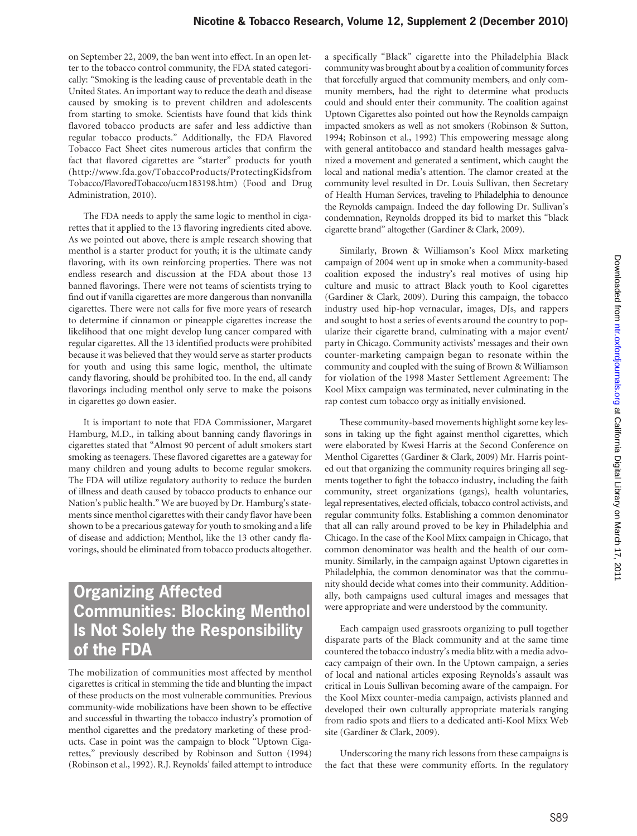on September 22, 2009, the ban went into effect. In an open letter to the tobacco control community, the FDA stated categorically: "Smoking is the leading cause of preventable death in the United States. An important way to reduce the death and disease caused by smoking is to prevent children and adolescents from starting to smoke. Scientists have found that kids think flavored tobacco products are safer and less addictive than regular tobacco products." Additionally, the FDA Flavored Tobacco Fact Sheet cites numerous articles that confirm the fact that flavored cigarettes are "starter" products for youth (http://www.fda.gov/TobaccoProducts/ProtectingKidsfrom Tobacco/FlavoredTobacco/ucm183198.htm) (Food and Drug Administration, 2010).

The FDA needs to apply the same logic to menthol in cigarettes that it applied to the 13 flavoring ingredients cited above. As we pointed out above, there is ample research showing that menthol is a starter product for youth; it is the ultimate candy flavoring, with its own reinforcing properties. There was not endless research and discussion at the FDA about those 13 banned flavorings. There were not teams of scientists trying to find out if vanilla cigarettes are more dangerous than nonvanilla cigarettes. There were not calls for five more years of research to determine if cinnamon or pineapple cigarettes increase the likelihood that one might develop lung cancer compared with regular cigarettes. All the 13 identified products were prohibited because it was believed that they would serve as starter products for youth and using this same logic, menthol, the ultimate candy flavoring, should be prohibited too. In the end, all candy flavorings including menthol only serve to make the poisons in cigarettes go down easier.

It is important to note that FDA Commissioner, Margaret Hamburg, M.D., in talking about banning candy flavorings in cigarettes stated that "Almost 90 percent of adult smokers start smoking as teenagers. These flavored cigarettes are a gateway for many children and young adults to become regular smokers. The FDA will utilize regulatory authority to reduce the burden of illness and death caused by tobacco products to enhance our Nation's public health." We are buoyed by Dr. Hamburg's statements since menthol cigarettes with their candy flavor have been shown to be a precarious gateway for youth to smoking and a life of disease and addiction; Menthol, like the 13 other candy flavorings, should be eliminated from tobacco products altogether.

## **Organizing Affected Communities: Blocking Menthol Is Not Solely the Responsibility of the FDA**

The mobilization of communities most affected by menthol cigarettes is critical in stemming the tide and blunting the impact of these products on the most vulnerable communities. Previous community-wide mobilizations have been shown to be effective and successful in thwarting the tobacco industry's promotion of menthol cigarettes and the predatory marketing of these products. Case in point was the campaign to block "Uptown Cigarettes," previously described by Robinson and Sutton (1994) (Robinson et al., 1992). R.J. Reynolds' failed attempt to introduce

a specifically "Black" cigarette into the Philadelphia Black community was brought about by a coalition of community forces that forcefully argued that community members, and only community members, had the right to determine what products could and should enter their community. The coalition against Uptown Cigarettes also pointed out how the Reynolds campaign impacted smokers as well as not smokers (Robinson & Sutton, 1994; Robinson et al., 1992) This empowering message along with general antitobacco and standard health messages galvanized a movement and generated a sentiment, which caught the local and national media's attention. The clamor created at the community level resulted in Dr. Louis Sullivan, then Secretary of Health Human Services, traveling to Philadelphia to denounce the Reynolds campaign. Indeed the day following Dr. Sullivan's condemnation, Reynolds dropped its bid to market this "black cigarette brand" altogether (Gardiner & Clark, 2009).

Similarly, Brown & Williamson's Kool Mixx marketing campaign of 2004 went up in smoke when a community-based coalition exposed the industry's real motives of using hip culture and music to attract Black youth to Kool cigarettes (Gardiner & Clark, 2009). During this campaign, the tobacco industry used hip-hop vernacular, images, DJs, and rappers and sought to host a series of events around the country to popularize their cigarette brand, culminating with a major event/ party in Chicago. Community activists' messages and their own counter-marketing campaign began to resonate within the community and coupled with the suing of Brown & Williamson for violation of the 1998 Master Settlement Agreement: The Kool Mixx campaign was terminated, never culminating in the rap contest cum tobacco orgy as initially envisioned.

These community-based movements highlight some key lessons in taking up the fight against menthol cigarettes, which were elaborated by Kwesi Harris at the Second Conference on Menthol Cigarettes (Gardiner & Clark, 2009) Mr. Harris pointed out that organizing the community requires bringing all segments together to fight the tobacco industry, including the faith community, street organizations (gangs), health voluntaries, legal representatives, elected officials, tobacco control activists, and regular community folks. Establishing a common denominator that all can rally around proved to be key in Philadelphia and Chicago. In the case of the Kool Mixx campaign in Chicago, that common denominator was health and the health of our community. Similarly, in the campaign against Uptown cigarettes in Philadelphia, the common denominator was that the community should decide what comes into their community. Additionally, both campaigns used cultural images and messages that were appropriate and were understood by the community.

Each campaign used grassroots organizing to pull together disparate parts of the Black community and at the same time countered the tobacco industry's media blitz with a media advocacy campaign of their own. In the Uptown campaign, a series of local and national articles exposing Reynolds's assault was critical in Louis Sullivan becoming aware of the campaign. For the Kool Mixx counter-media campaign, activists planned and developed their own culturally appropriate materials ranging from radio spots and fliers to a dedicated anti-Kool Mixx Web site (Gardiner & Clark, 2009).

Underscoring the many rich lessons from these campaigns is the fact that these were community efforts. In the regulatory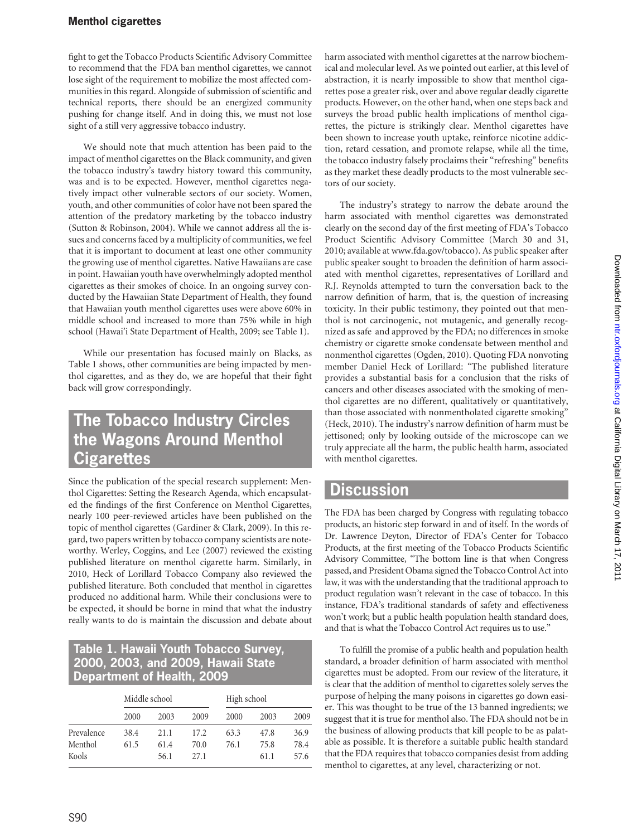fight to get the Tobacco Products Scientific Advisory Committee to recommend that the FDA ban menthol cigarettes, we cannot lose sight of the requirement to mobilize the most affected communities in this regard. Alongside of submission of scientific and technical reports, there should be an energized community pushing for change itself. And in doing this, we must not lose sight of a still very aggressive tobacco industry.

We should note that much attention has been paid to the impact of menthol cigarettes on the Black community, and given the tobacco industry's tawdry history toward this community, was and is to be expected. However, menthol cigarettes negatively impact other vulnerable sectors of our society. Women, youth, and other communities of color have not been spared the attention of the predatory marketing by the tobacco industry (Sutton & Robinson, 2004). While we cannot address all the issues and concerns faced by a multiplicity of communities, we feel that it is important to document at least one other community the growing use of menthol cigarettes. Native Hawaiians are case in point. Hawaiian youth have overwhelmingly adopted menthol cigarettes as their smokes of choice. In an ongoing survey conducted by the Hawaiian State Department of Health, they found that Hawaiian youth menthol cigarettes uses were above 60% in middle school and increased to more than 75% while in high school (Hawai'i State Department of Health, 2009; see Table 1).

While our presentation has focused mainly on Blacks, as Table 1 shows, other communities are being impacted by menthol cigarettes, and as they do, we are hopeful that their fight back will grow correspondingly.

## **The Tobacco Industry Circles the Wagons Around Menthol Cigarettes**

Since the publication of the special research supplement: Menthol Cigarettes: Setting the Research Agenda, which encapsulated the findings of the first Conference on Menthol Cigarettes, nearly 100 peer-reviewed articles have been published on the topic of menthol cigarettes (Gardiner & Clark, 2009). In this regard, two papers written by tobacco company scientists are noteworthy. Werley, Coggins, and Lee (2007) reviewed the existing published literature on menthol cigarette harm. Similarly, in 2010, Heck of Lorillard Tobacco Company also reviewed the published literature. Both concluded that menthol in cigarettes produced no additional harm. While their conclusions were to be expected, it should be borne in mind that what the industry really wants to do is maintain the discussion and debate about

### **Table 1. Hawaii Youth Tobacco Survey, 2000, 2003, and 2009, Hawaii State Department of Health, 2009**

|                       | Middle school |              |              | High school  |              |              |
|-----------------------|---------------|--------------|--------------|--------------|--------------|--------------|
|                       | 2000          | 2003         | 2009         | 2000         | 2003         | 2009         |
| Prevalence<br>Menthol | 38.4<br>61.5  | 21.1<br>61.4 | 17.2<br>70.0 | 63.3<br>76.1 | 47.8<br>75.8 | 36.9<br>78.4 |
| Kools                 |               | 56.1         | 27.1         |              | 61.1         | 57.6         |

harm associated with menthol cigarettes at the narrow biochemical and molecular level. As we pointed out earlier, at this level of abstraction, it is nearly impossible to show that menthol cigarettes pose a greater risk, over and above regular deadly cigarette products. However, on the other hand, when one steps back and surveys the broad public health implications of menthol cigarettes, the picture is strikingly clear. Menthol cigarettes have been shown to increase youth uptake, reinforce nicotine addiction, retard cessation, and promote relapse, while all the time, the tobacco industry falsely proclaims their "refreshing" benefits as they market these deadly products to the most vulnerable sectors of our society.

The industry's strategy to narrow the debate around the harm associated with menthol cigarettes was demonstrated clearly on the second day of the first meeting of FDA's Tobacco Product Scientific Advisory Committee (March 30 and 31, 2010; available at www.fda.gov/tobacco). As public speaker after public speaker sought to broaden the definition of harm associated with menthol cigarettes, representatives of Lorillard and R.J. Reynolds attempted to turn the conversation back to the narrow definition of harm, that is, the question of increasing toxicity. In their public testimony, they pointed out that menthol is not carcinogenic, not mutagenic, and generally recognized as safe and approved by the FDA; no differences in smoke chemistry or cigarette smoke condensate between menthol and nonmenthol cigarettes (Ogden, 2010). Quoting FDA nonvoting member Daniel Heck of Lorillard: "The published literature provides a substantial basis for a conclusion that the risks of cancers and other diseases associated with the smoking of menthol cigarettes are no different, qualitatively or quantitatively, than those associated with nonmentholated cigarette smoking' (Heck, 2010). The industry's narrow definition of harm must be jettisoned; only by looking outside of the microscope can we truly appreciate all the harm, the public health harm, associated with menthol cigarettes.

## **Discussion**

The FDA has been charged by Congress with regulating tobacco products, an historic step forward in and of itself. In the words of Dr. Lawrence Deyton, Director of FDA's Center for Tobacco Products, at the first meeting of the Tobacco Products Scientific Advisory Committee, "The bottom line is that when Congress passed, and President Obama signed the Tobacco Control Act into law, it was with the understanding that the traditional approach to product regulation wasn't relevant in the case of tobacco. In this instance, FDA's traditional standards of safety and effectiveness won't work; but a public health population health standard does, and that is what the Tobacco Control Act requires us to use."

To fulfill the promise of a public health and population health standard, a broader definition of harm associated with menthol cigarettes must be adopted. From our review of the literature, it is clear that the addition of menthol to cigarettes solely serves the purpose of helping the many poisons in cigarettes go down easier. This was thought to be true of the 13 banned ingredients; we suggest that it is true for menthol also. The FDA should not be in the business of allowing products that kill people to be as palatable as possible. It is therefore a suitable public health standard that the FDA requires that tobacco companies desist from adding menthol to cigarettes, at any level, characterizing or not.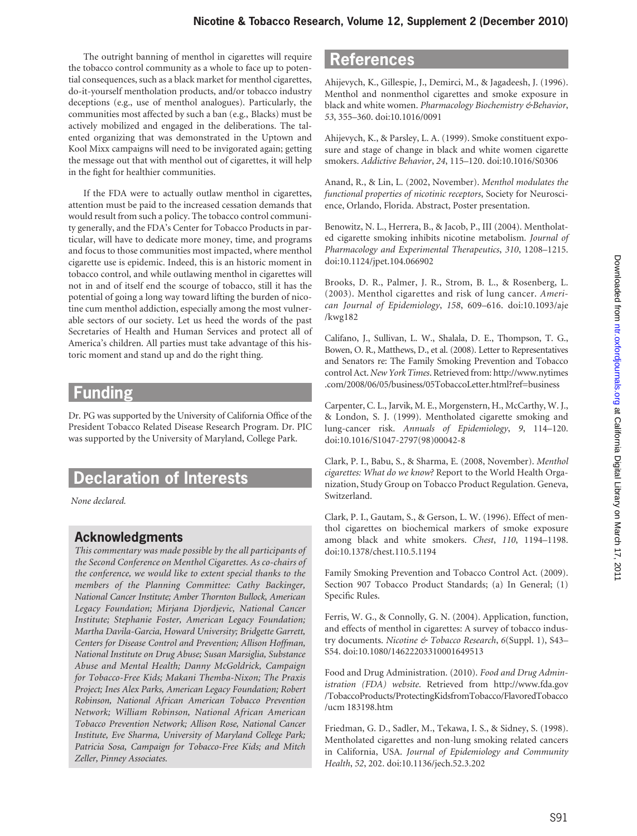The outright banning of menthol in cigarettes will require the tobacco control community as a whole to face up to potential consequences, such as a black market for menthol cigarettes, do-it-yourself mentholation products, and/or tobacco industry deceptions (e.g., use of menthol analogues). Particularly, the communities most affected by such a ban (e.g., Blacks) must be actively mobilized and engaged in the deliberations. The talented organizing that was demonstrated in the Uptown and Kool Mixx campaigns will need to be invigorated again; getting the message out that with menthol out of cigarettes, it will help in the fight for healthier communities.

If the FDA were to actually outlaw menthol in cigarettes, attention must be paid to the increased cessation demands that would result from such a policy. The tobacco control community generally, and the FDA's Center for Tobacco Products in particular, will have to dedicate more money, time, and programs and focus to those communities most impacted, where menthol cigarette use is epidemic. Indeed, this is an historic moment in tobacco control, and while outlawing menthol in cigarettes will not in and of itself end the scourge of tobacco, still it has the potential of going a long way toward lifting the burden of nicotine cum menthol addiction, especially among the most vulnerable sectors of our society. Let us heed the words of the past Secretaries of Health and Human Services and protect all of America's children. All parties must take advantage of this historic moment and stand up and do the right thing.

## **Funding**

Dr. PG was supported by the University of California Office of the President Tobacco Related Disease Research Program. Dr. PIC was supported by the University of Maryland, College Park.

## **Declaration of Interests**

*None declared.*

### **Acknowledgments**

*This commentary was made possible by the all participants of the Second Conference on Menthol Cigarettes. As co-chairs of the conference, we would like to extent special thanks to the members of the Planning Committee: Cathy Backinger, National Cancer Institute; Amber Thornton Bullock, American Legacy Foundation; Mirjana Djordjevic, National Cancer Institute; Stephanie Foster, American Legacy Foundation; Martha Davila-Garcia, Howard University; Bridgette Garrett, Centers for Disease Control and Prevention; Allison Hoffman, National Institute on Drug Abuse; Susan Marsiglia, Substance Abuse and Mental Health; Danny McGoldrick, Campaign for Tobacco-Free Kids; Makani Themba-Nixon; The Praxis Project; Ines Alex Parks, American Legacy Foundation; Robert Robinson, National African American Tobacco Prevention Network; William Robinson, National African American Tobacco Prevention Network; Allison Rose, National Cancer Institute, Eve Sharma, University of Maryland College Park; Patricia Sosa, Campaign for Tobacco-Free Kids; and Mitch Zeller, Pinney Associates.*

### **References**

Ahijevych, K., Gillespie, J., Demirci, M., & Jagadeesh, J. (1996). Menthol and nonmenthol cigarettes and smoke exposure in black and white women. *Pharmacology Biochemistry &Behavior*, *53*, 355–360. doi:10.1016/0091

Ahijevych, K., & Parsley, L. A. (1999). Smoke constituent exposure and stage of change in black and white women cigarette smokers. *Addictive Behavior*, *24*, 115–120. doi:10.1016/S0306

Anand, R., & Lin, L. (2002, November). *Menthol modulates the functional properties of nicotinic receptors*, Society for Neuroscience, Orlando, Florida. Abstract, Poster presentation.

Benowitz, N. L., Herrera, B., & Jacob, P., III (2004). Mentholated cigarette smoking inhibits nicotine metabolism. *Journal of Pharmacology and Experimental Therapeutics*, *310*, 1208–1215. doi:10.1124/jpet.104.066902

Brooks, D. R., Palmer, J. R., Strom, B. L., & Rosenberg, L. (2003). Menthol cigarettes and risk of lung cancer. *American Journal of Epidemiology*, *158*, 609–616. doi:10.1093/aje /kwg182

Califano, J., Sullivan, L. W., Shalala, D. E., Thompson, T. G., Bowen, O. R., Matthews, D., et al. (2008). Letter to Representatives and Senators re: The Family Smoking Prevention and Tobacco control Act. *New York Times*. Retrieved from: http://www.nytimes .com/2008/06/05/business/05TobaccoLetter.html?ref=business

Carpenter, C. L., Jarvik, M. E., Morgenstern, H., McCarthy, W. J., & London, S. J. (1999). Mentholated cigarette smoking and lung-cancer risk. *Annuals of Epidemiology*, *9*, 114–120. doi:10.1016/S1047-2797(98)00042-8

Clark, P. I., Babu, S., & Sharma, E. (2008, November). *Menthol cigarettes: What do we know?* Report to the World Health Organization, Study Group on Tobacco Product Regulation. Geneva, Switzerland.

Clark, P. I., Gautam, S., & Gerson, L. W. (1996). Effect of menthol cigarettes on biochemical markers of smoke exposure among black and white smokers. *Chest*, *110*, 1194–1198. doi:10.1378/chest.110.5.1194

Family Smoking Prevention and Tobacco Control Act. (2009). Section 907 Tobacco Product Standards; (a) In General; (1) Specific Rules.

Ferris, W. G., & Connolly, G. N. (2004). Application, function, and effects of menthol in cigarettes: A survey of tobacco industry documents. *Nicotine & Tobacco Research*, *6*(Suppl. 1), S43– S54. doi:10.1080/14622203310001649513

Food and Drug Administration. (2010). *Food and Drug Administration (FDA) website*. Retrieved from http://www.fda.gov /TobaccoProducts/ProtectingKidsfromTobacco/FlavoredTobacco /ucm 183198.htm

Friedman, G. D., Sadler, M., Tekawa, I. S., & Sidney, S. (1998). Mentholated cigarettes and non-lung smoking related cancers in California, USA. *Journal of Epidemiology and Community Health*, *52*, 202. doi:10.1136/jech.52.3.202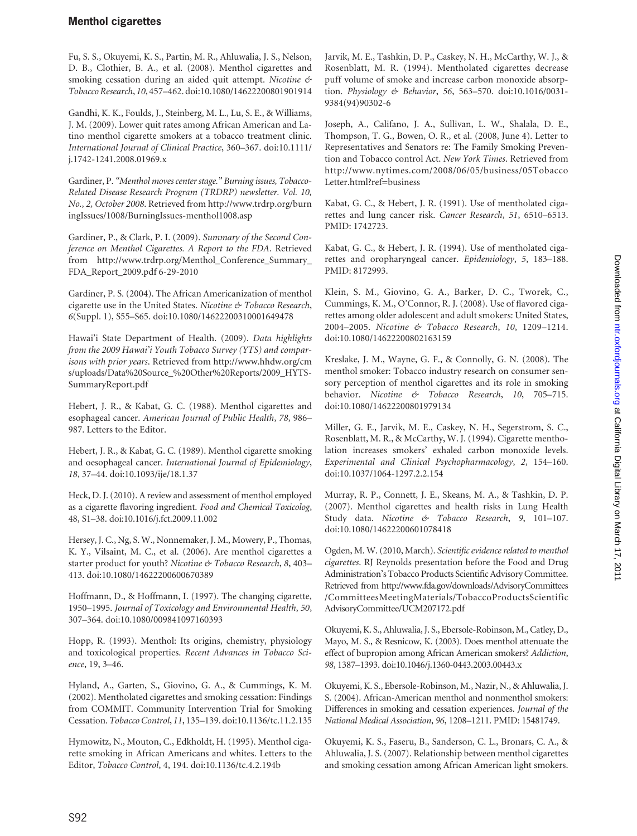Fu, S. S., Okuyemi, K. S., Partin, M. R., Ahluwalia, J. S., Nelson, D. B., Clothier, B. A., et al. (2008). Menthol cigarettes and smoking cessation during an aided quit attempt. *Nicotine & Tobacco Research*, *10*, 457–462. doi:10.1080/14622200801901914

Gandhi, K. K., Foulds, J., Steinberg, M. L., Lu, S. E., & Williams, J. M. (2009). Lower quit rates among African American and Latino menthol cigarette smokers at a tobacco treatment clinic. *International Journal of Clinical Practice*, 360–367. doi:10.1111/ j.1742-1241.2008.01969.x

Gardiner, P. *"Menthol moves center stage." Burning issues, Tobacco-Related Disease Research Program (TRDRP) newsletter. Vol. 10, No., 2, October 2008*. Retrieved from http://www.trdrp.org/burn ingIssues/1008/BurningIssues-menthol1008.asp

Gardiner, P., & Clark, P. I. (2009). *Summary of the Second Conference on Menthol Cigarettes. A Report to the FDA*. Retrieved from http://www.trdrp.org/Menthol\_Conference\_Summary\_ FDA\_Report\_2009.pdf 6-29-2010

Gardiner, P. S. (2004). The African Americanization of menthol cigarette use in the United States. *Nicotine & Tobacco Research*, *6*(Suppl. 1), S55–S65. doi:10.1080/14622200310001649478

Hawai'i State Department of Health. (2009). *Data highlights from the 2009 Hawai'i Youth Tobacco Survey (YTS) and comparisons with prior years*. Retrieved from http://www.hhdw.org/cm s/uploads/Data%20Source\_%20Other%20Reports/2009\_HYTS-SummaryReport.pdf

Hebert, J. R., & Kabat, G. C. (1988). Menthol cigarettes and esophageal cancer. *American Journal of Public Health*, *78*, 986– 987. Letters to the Editor.

Hebert, J. R., & Kabat, G. C. (1989). Menthol cigarette smoking and oesophageal cancer. *International Journal of Epidemiology*, *18*, 37–44. doi:10.1093/ije/18.1.37

Heck, D. J. (2010). A review and assessment of menthol employed as a cigarette flavoring ingredient. *Food and Chemical Toxicolog*, 48, S1–38. doi:10.1016/j.fct.2009.11.002

Hersey, J. C., Ng, S. W., Nonnemaker, J. M., Mowery, P., Thomas, K. Y., Vilsaint, M. C., et al. (2006). Are menthol cigarettes a starter product for youth? *Nicotine & Tobacco Research*, *8*, 403– 413. doi:10.1080/14622200600670389

Hoffmann, D., & Hoffmann, I. (1997). The changing cigarette, 1950–1995. *Journal of Toxicology and Environmental Health*, *50*, 307–364. doi:10.1080/009841097160393

Hopp, R. (1993). Menthol: Its origins, chemistry, physiology and toxicological properties. *Recent Advances in Tobacco Science*, 19, 3–46.

Hyland, A., Garten, S., Giovino, G. A., & Cummings, K. M. (2002). Mentholated cigarettes and smoking cessation: Findings from COMMIT. Community Intervention Trial for Smoking Cessation. *Tobacco Control*, *11*, 135–139. doi:10.1136/tc.11.2.135

Hymowitz, N., Mouton, C., Edkholdt, H. (1995). Menthol cigarette smoking in African Americans and whites. Letters to the Editor, *Tobacco Control*, 4, 194. doi:10.1136/tc.4.2.194b

Jarvik, M. E., Tashkin, D. P., Caskey, N. H., McCarthy, W. J., & Rosenblatt, M. R. (1994). Mentholated cigarettes decrease puff volume of smoke and increase carbon monoxide absorption. *Physiology & Behavior*, *56*, 563–570. doi:10.1016/0031- 9384(94)90302-6

Joseph, A., Califano, J. A., Sullivan, L. W., Shalala, D. E., Thompson, T. G., Bowen, O. R., et al. (2008, June 4). Letter to Representatives and Senators re: The Family Smoking Prevention and Tobacco control Act. *New York Times*. Retrieved from http://www.nytimes.com/2008/06/05/business/05Tobacco Letter.html?ref=business

Kabat, G. C., & Hebert, J. R. (1991). Use of mentholated cigarettes and lung cancer risk. *Cancer Research*, *51*, 6510–6513. PMID: 1742723.

Kabat, G. C., & Hebert, J. R. (1994). Use of mentholated cigarettes and oropharyngeal cancer. *Epidemiology*, *5*, 183–188. PMID: 8172993.

Klein, S. M., Giovino, G. A., Barker, D. C., Tworek, C., Cummings, K. M., O'Connor, R. J. (2008). Use of flavored cigarettes among older adolescent and adult smokers: United States, 2004–2005. *Nicotine & Tobacco Research*, *10*, 1209–1214. doi:10.1080/14622200802163159

Kreslake, J. M., Wayne, G. F., & Connolly, G. N. (2008). The menthol smoker: Tobacco industry research on consumer sensory perception of menthol cigarettes and its role in smoking behavior. *Nicotine & Tobacco Research*, *10*, 705–715. doi:10.1080/14622200801979134

Miller, G. E., Jarvik, M. E., Caskey, N. H., Segerstrom, S. C., Rosenblatt, M. R., & McCarthy, W. J. (1994). Cigarette mentholation increases smokers' exhaled carbon monoxide levels. *Experimental and Clinical Psychopharmacology*, *2*, 154–160. doi:10.1037/1064-1297.2.2.154

Murray, R. P., Connett, J. E., Skeans, M. A., & Tashkin, D. P. (2007). Menthol cigarettes and health risks in Lung Health Study data. *Nicotine & Tobacco Research*, *9*, 101–107. doi:10.1080/14622200601078418

Ogden, M. W. (2010, March). *Scientific evidence related to menthol cigarettes*. RJ Reynolds presentation before the Food and Drug Administration's Tobacco Products Scientific Advisory Committee. Retrieved from http://www.fda.gov/downloads/AdvisoryCommittees /CommitteesMeetingMaterials/TobaccoProductsScientific AdvisoryCommittee/UCM207172.pdf

Okuyemi, K. S., Ahluwalia, J. S., Ebersole-Robinson, M., Catley, D., Mayo, M. S., & Resnicow, K. (2003). Does menthol attenuate the effect of bupropion among African American smokers? *Addiction*, *98*, 1387–1393. doi:10.1046/j.1360-0443.2003.00443.x

Okuyemi, K. S., Ebersole-Robinson, M., Nazir, N., & Ahluwalia, J. S. (2004). African-American menthol and nonmenthol smokers: Differences in smoking and cessation experiences. *Journal of the National Medical Association*, *96*, 1208–1211. PMID: 15481749.

Okuyemi, K. S., Faseru, B., Sanderson, C. L., Bronars, C. A., & Ahluwalia, J. S. (2007). Relationship between menthol cigarettes and smoking cessation among African American light smokers.